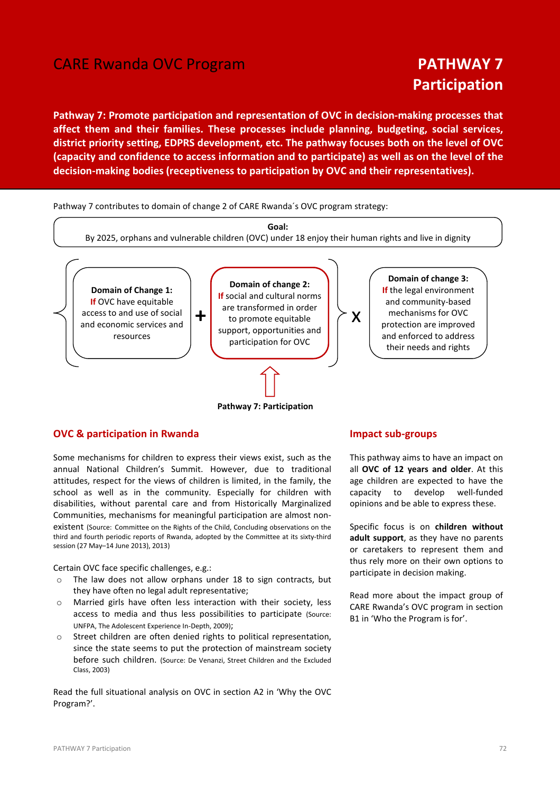# **CARE Rwanda OVC Program PATHWAY 7**

# Participation

Pathway 7: Promote participation and representation of OVC in decision-making processes that affect them and their families. These processes include planning, budgeting, social services, district priority setting, EDPRS development, etc. The pathway focuses both on the level of OVC (capacity and confidence to access information and to participate) as well as on the level of the decision-making bodies (receptiveness to participation by OVC and their representatives).

Pathway 7 contributes to domain of change 2 of CARE Rwanda´s OVC program strategy:



Pathway 7: Participation

# OVC & participation in Rwanda

Some mechanisms for children to express their views exist, such as the annual National Children's Summit. However, due to traditional attitudes, respect for the views of children is limited, in the family, the school as well as in the community. Especially for children with disabilities, without parental care and from Historically Marginalized Communities, mechanisms for meaningful participation are almost nonexistent (Source: Committee on the Rights of the Child, Concluding observations on the third and fourth periodic reports of Rwanda, adopted by the Committee at its sixty-third session (27 May–14 June 2013), 2013)

Certain OVC face specific challenges, e.g.:

- o The law does not allow orphans under 18 to sign contracts, but they have often no legal adult representative;
- o Married girls have often less interaction with their society, less access to media and thus less possibilities to participate (Source: UNFPA, The Adolescent Experience In-Depth, 2009);
- o Street children are often denied rights to political representation, since the state seems to put the protection of mainstream society before such children. (Source: De Venanzi, Street Children and the Excluded Class, 2003)

Read the full situational analysis on OVC in section A2 in 'Why the OVC Program?'.

#### Impact sub-groups

This pathway aims to have an impact on all OVC of 12 years and older. At this age children are expected to have the capacity to develop well-funded opinions and be able to express these.

Specific focus is on children without adult support, as they have no parents or caretakers to represent them and thus rely more on their own options to participate in decision making.

Read more about the impact group of CARE Rwanda's OVC program in section B1 in 'Who the Program is for'.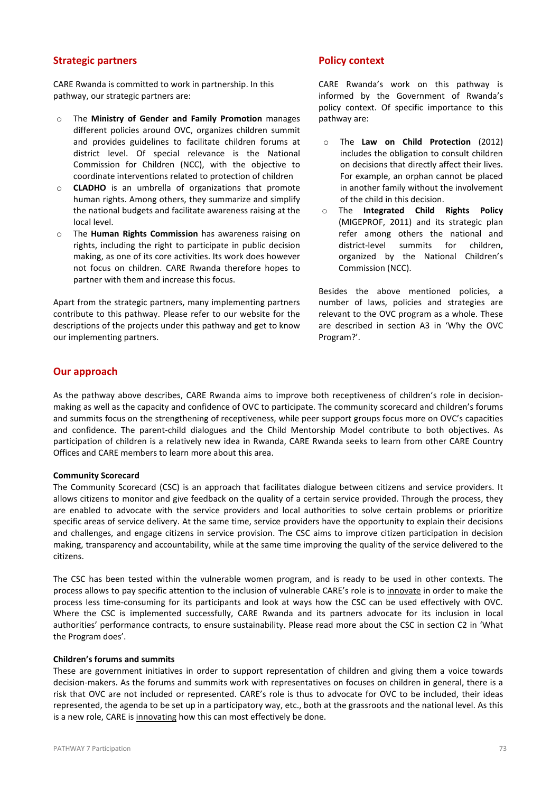# Strategic partners

CARE Rwanda is committed to work in partnership. In this pathway, our strategic partners are:

- o The Ministry of Gender and Family Promotion manages different policies around OVC, organizes children summit and provides guidelines to facilitate children forums at district level. Of special relevance is the National Commission for Children (NCC), with the objective to coordinate interventions related to protection of children
- o CLADHO is an umbrella of organizations that promote human rights. Among others, they summarize and simplify the national budgets and facilitate awareness raising at the local level.
- o The Human Rights Commission has awareness raising on rights, including the right to participate in public decision making, as one of its core activities. Its work does however not focus on children. CARE Rwanda therefore hopes to partner with them and increase this focus.

Apart from the strategic partners, many implementing partners contribute to this pathway. Please refer to our website for the descriptions of the projects under this pathway and get to know our implementing partners.

# Policy context

CARE Rwanda's work on this pathway is informed by the Government of Rwanda's policy context. Of specific importance to this pathway are:

- o The Law on Child Protection (2012) includes the obligation to consult children on decisions that directly affect their lives. For example, an orphan cannot be placed in another family without the involvement of the child in this decision.
- o The Integrated Child Rights Policy (MIGEPROF, 2011) and its strategic plan refer among others the national and district-level summits for children, organized by the National Children's Commission (NCC).

Besides the above mentioned policies, a number of laws, policies and strategies are relevant to the OVC program as a whole. These are described in section A3 in 'Why the OVC Program?'.

# Our approach

As the pathway above describes, CARE Rwanda aims to improve both receptiveness of children's role in decisionmaking as well as the capacity and confidence of OVC to participate. The community scorecard and children's forums and summits focus on the strengthening of receptiveness, while peer support groups focus more on OVC's capacities and confidence. The parent-child dialogues and the Child Mentorship Model contribute to both objectives. As participation of children is a relatively new idea in Rwanda, CARE Rwanda seeks to learn from other CARE Country Offices and CARE members to learn more about this area.

#### Community Scorecard

The Community Scorecard (CSC) is an approach that facilitates dialogue between citizens and service providers. It allows citizens to monitor and give feedback on the quality of a certain service provided. Through the process, they are enabled to advocate with the service providers and local authorities to solve certain problems or prioritize specific areas of service delivery. At the same time, service providers have the opportunity to explain their decisions and challenges, and engage citizens in service provision. The CSC aims to improve citizen participation in decision making, transparency and accountability, while at the same time improving the quality of the service delivered to the citizens.

The CSC has been tested within the vulnerable women program, and is ready to be used in other contexts. The process allows to pay specific attention to the inclusion of vulnerable CARE's role is to innovate in order to make the process less time-consuming for its participants and look at ways how the CSC can be used effectively with OVC. Where the CSC is implemented successfully, CARE Rwanda and its partners advocate for its inclusion in local authorities' performance contracts, to ensure sustainability. Please read more about the CSC in section C2 in 'What the Program does'.

#### Children's forums and summits

These are government initiatives in order to support representation of children and giving them a voice towards decision-makers. As the forums and summits work with representatives on focuses on children in general, there is a risk that OVC are not included or represented. CARE's role is thus to advocate for OVC to be included, their ideas represented, the agenda to be set up in a participatory way, etc., both at the grassroots and the national level. As this is a new role, CARE is innovating how this can most effectively be done.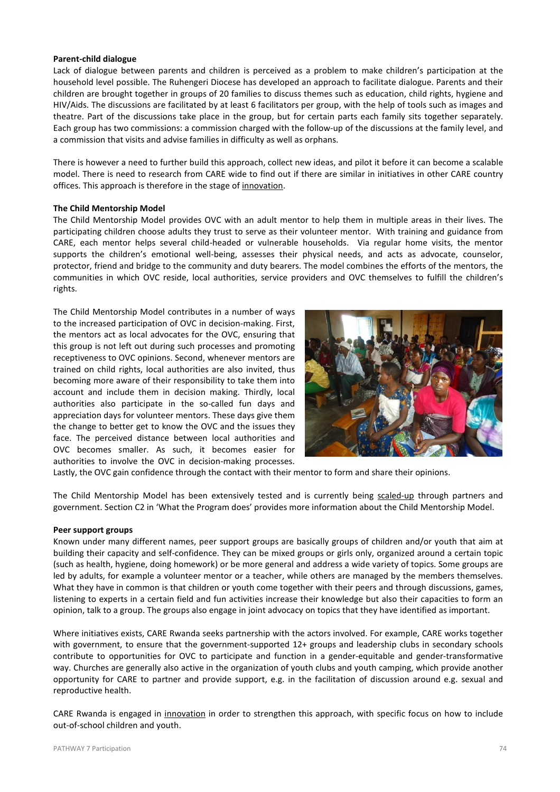#### Parent-child dialogue

Lack of dialogue between parents and children is perceived as a problem to make children's participation at the household level possible. The Ruhengeri Diocese has developed an approach to facilitate dialogue. Parents and their children are brought together in groups of 20 families to discuss themes such as education, child rights, hygiene and HIV/Aids. The discussions are facilitated by at least 6 facilitators per group, with the help of tools such as images and theatre. Part of the discussions take place in the group, but for certain parts each family sits together separately. Each group has two commissions: a commission charged with the follow-up of the discussions at the family level, and a commission that visits and advise families in difficulty as well as orphans.

There is however a need to further build this approach, collect new ideas, and pilot it before it can become a scalable model. There is need to research from CARE wide to find out if there are similar in initiatives in other CARE country offices. This approach is therefore in the stage of innovation.

#### The Child Mentorship Model

The Child Mentorship Model provides OVC with an adult mentor to help them in multiple areas in their lives. The participating children choose adults they trust to serve as their volunteer mentor. With training and guidance from CARE, each mentor helps several child-headed or vulnerable households. Via regular home visits, the mentor supports the children's emotional well-being, assesses their physical needs, and acts as advocate, counselor, protector, friend and bridge to the community and duty bearers. The model combines the efforts of the mentors, the communities in which OVC reside, local authorities, service providers and OVC themselves to fulfill the children's rights.

The Child Mentorship Model contributes in a number of ways to the increased participation of OVC in decision-making. First, the mentors act as local advocates for the OVC, ensuring that this group is not left out during such processes and promoting receptiveness to OVC opinions. Second, whenever mentors are trained on child rights, local authorities are also invited, thus becoming more aware of their responsibility to take them into account and include them in decision making. Thirdly, local authorities also participate in the so-called fun days and appreciation days for volunteer mentors. These days give them the change to better get to know the OVC and the issues they face. The perceived distance between local authorities and OVC becomes smaller. As such, it becomes easier for authorities to involve the OVC in decision-making processes.



Lastly, the OVC gain confidence through the contact with their mentor to form and share their opinions.

The Child Mentorship Model has been extensively tested and is currently being scaled-up through partners and government. Section C2 in 'What the Program does' provides more information about the Child Mentorship Model.

#### Peer support groups

Known under many different names, peer support groups are basically groups of children and/or youth that aim at building their capacity and self-confidence. They can be mixed groups or girls only, organized around a certain topic (such as health, hygiene, doing homework) or be more general and address a wide variety of topics. Some groups are led by adults, for example a volunteer mentor or a teacher, while others are managed by the members themselves. What they have in common is that children or youth come together with their peers and through discussions, games, listening to experts in a certain field and fun activities increase their knowledge but also their capacities to form an opinion, talk to a group. The groups also engage in joint advocacy on topics that they have identified as important.

Where initiatives exists, CARE Rwanda seeks partnership with the actors involved. For example, CARE works together with government, to ensure that the government-supported 12+ groups and leadership clubs in secondary schools contribute to opportunities for OVC to participate and function in a gender-equitable and gender-transformative way. Churches are generally also active in the organization of youth clubs and youth camping, which provide another opportunity for CARE to partner and provide support, e.g. in the facilitation of discussion around e.g. sexual and reproductive health.

CARE Rwanda is engaged in *innovation* in order to strengthen this approach, with specific focus on how to include out-of-school children and youth.